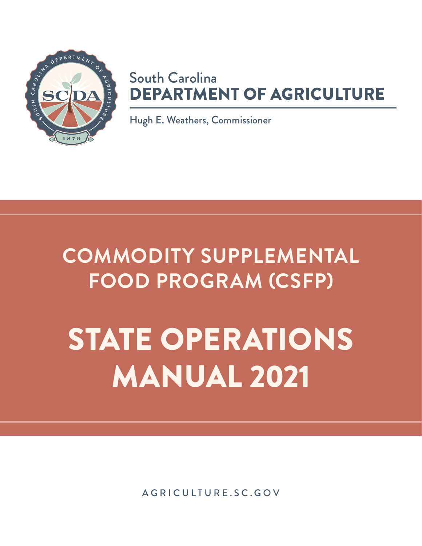

### South Carolina DEPARTMENT OF AGRICULTURE

Hugh E. Weathers, Commissioner

## **COMMODITY SUPPLEMENTAL FOOD PROGRAM (CSFP)**

# STATE OPERATIONS MANUAL 2021

[AGRICULTURE.SC.GOV](https://agriculture.sc.gov)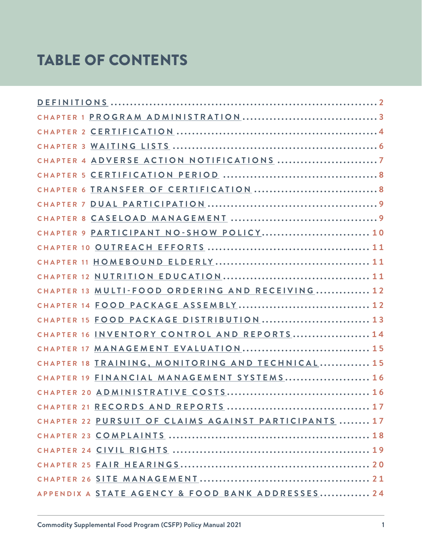### TABLE OF CONTENTS

| CHAPTER 9 PARTICIPANT NO-SHOW POLICY 10               |
|-------------------------------------------------------|
|                                                       |
|                                                       |
|                                                       |
| CHAPTER 13 MULTI-FOOD ORDERING AND RECEIVING 12       |
|                                                       |
| CHAPTER 15 FOOD PACKAGE DISTRIBUTION 13               |
| CHAPTER 16 INVENTORY CONTROL AND REPORTS 14           |
|                                                       |
| CHAPTER 18 TRAINING, MONITORING AND TECHNICAL 15      |
| CHAPTER 19 FINANCIAL MANAGEMENT SYSTEMS 16            |
|                                                       |
|                                                       |
| CHAPTER 22 PURSUIT OF CLAIMS AGAINST PARTICIPANTS  17 |
|                                                       |
|                                                       |
|                                                       |
|                                                       |
| APPENDIX A STATE AGENCY & FOOD BANK ADDRESSES 24      |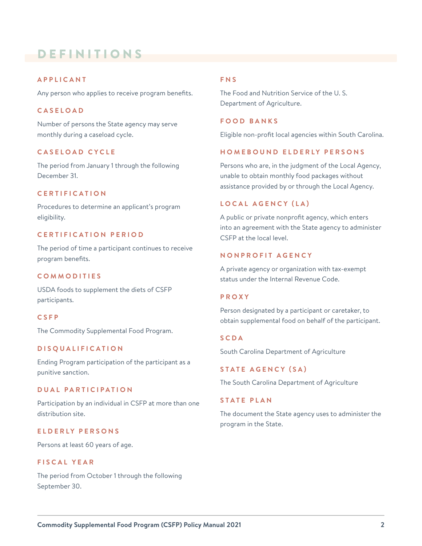### <span id="page-2-0"></span>DEFINITIONS

#### **APPLICANT**

Any person who applies to receive program benefits.

#### **CASELOAD**

Number of persons the State agency may serve monthly during a caseload cycle.

#### **CASELOAD CYCLE**

The period from January 1 through the following December 31.

#### **CERTIFICATION**

Procedures to determine an applicant's program eligibility.

#### **CERTIFICATION PERIOD**

The period of time a participant continues to receive program benefits.

#### **COMMODITIES**

USDA foods to supplement the diets of CSFP participants.

#### **CSFP**

The Commodity Supplemental Food Program.

#### **DISQUALIFICATION**

Ending Program participation of the participant as a punitive sanction.

#### **DUAL PARTICIPATION**

Participation by an individual in CSFP at more than one distribution site.

#### **ELDERLY PERSONS**

Persons at least 60 years of age.

#### **FISCAL YEAR**

The period from October 1 through the following September 30.

#### **FNS**

The Food and Nutrition Service of the U. S. Department of Agriculture.

#### **FOOD BANKS**

Eligible non-profit local agencies within South Carolina.

#### **HOMEBOUND ELDERLY PERSONS**

Persons who are, in the judgment of the Local Agency, unable to obtain monthly food packages without assistance provided by or through the Local Agency.

#### **LOCAL AGENCY (LA)**

A public or private nonprofit agency, which enters into an agreement with the State agency to administer CSFP at the local level.

#### **NONPROFIT AGENCY**

A private agency or organization with tax-exempt status under the Internal Revenue Code.

#### **PROXY**

Person designated by a participant or caretaker, to obtain supplemental food on behalf of the participant.

#### **SCDA**

South Carolina Department of Agriculture

**STATE AGENCY (SA)**

The South Carolina Department of Agriculture

#### **STATE PLAN**

The document the State agency uses to administer the program in the State.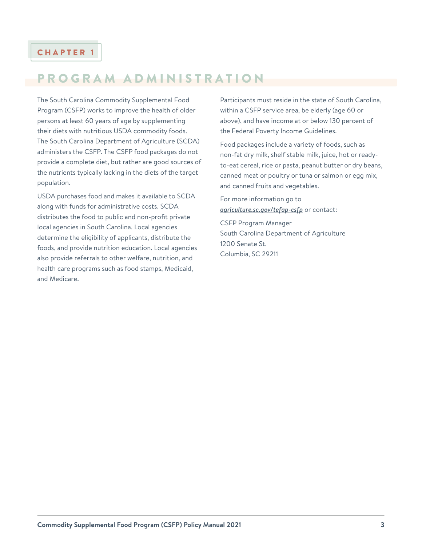### <span id="page-3-0"></span>PROGRAM ADMINISTRATION

The South Carolina Commodity Supplemental Food Program (CSFP) works to improve the health of older persons at least 60 years of age by supplementing their diets with nutritious USDA commodity foods. The South Carolina Department of Agriculture (SCDA) administers the CSFP. The CSFP food packages do not provide a complete diet, but rather are good sources of the nutrients typically lacking in the diets of the target population.

USDA purchases food and makes it available to SCDA along with funds for administrative costs. SCDA distributes the food to public and non-profit private local agencies in South Carolina. Local agencies determine the eligibility of applicants, distribute the foods, and provide nutrition education. Local agencies also provide referrals to other welfare, nutrition, and health care programs such as food stamps, Medicaid, and Medicare.

Participants must reside in the state of South Carolina, within a CSFP service area, be elderly (age 60 or above), and have income at or below 130 percent of the Federal Poverty Income Guidelines.

Food packages include a variety of foods, such as non-fat dry milk, shelf stable milk, juice, hot or readyto-eat cereal, rice or pasta, peanut butter or dry beans, canned meat or poultry or tuna or salmon or egg mix, and canned fruits and vegetables.

For more information go to *[agriculture.sc.gov/tefap-csfp](https://agriculture.sc.gov/tefap-csfp)* or contact: CSFP Program Manager South Carolina Department of Agriculture 1200 Senate St.

Columbia, SC 29211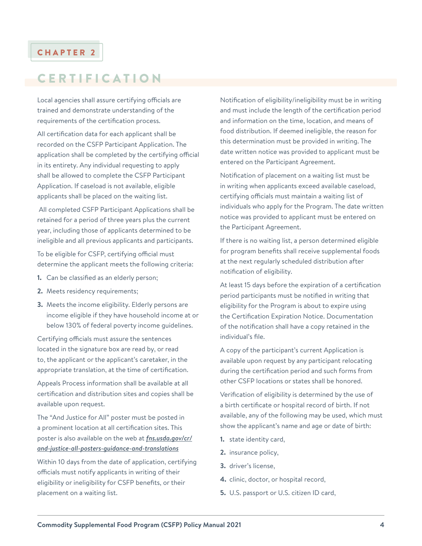### <span id="page-4-0"></span>**CERTIFICATION**

Local agencies shall assure certifying officials are trained and demonstrate understanding of the requirements of the certification process.

All certification data for each applicant shall be recorded on the CSFP Participant Application. The application shall be completed by the certifying official in its entirety. Any individual requesting to apply shall be allowed to complete the CSFP Participant Application. If caseload is not available, eligible applicants shall be placed on the waiting list.

 All completed CSFP Participant Applications shall be retained for a period of three years plus the current year, including those of applicants determined to be ineligible and all previous applicants and participants.

To be eligible for CSFP, certifying official must determine the applicant meets the following criteria:

- **1.** Can be classified as an elderly person;
- **2.** Meets residency requirements;
- **3.** Meets the income eligibility. Elderly persons are income eligible if they have household income at or below 130% of federal poverty income guidelines.

Certifying officials must assure the sentences located in the signature box are read by, or read to, the applicant or the applicant's caretaker, in the appropriate translation, at the time of certification.

Appeals Process information shall be available at all certification and distribution sites and copies shall be available upon request.

The "And Justice for All" poster must be posted in a prominent location at all certification sites. This poster is also available on the web at *[fns.usda.gov/cr/](https://www.fns.usda.gov/cr/and-justice-all-posters-guidance-and-translations) [and-justice-all-posters-guidance-and-translations](https://www.fns.usda.gov/cr/and-justice-all-posters-guidance-and-translations)*

Within 10 days from the date of application, certifying officials must notify applicants in writing of their eligibility or ineligibility for CSFP benefits, or their placement on a waiting list.

Notification of eligibility/ineligibility must be in writing and must include the length of the certification period and information on the time, location, and means of food distribution. If deemed ineligible, the reason for this determination must be provided in writing. The date written notice was provided to applicant must be entered on the Participant Agreement.

Notification of placement on a waiting list must be in writing when applicants exceed available caseload, certifying officials must maintain a waiting list of individuals who apply for the Program. The date written notice was provided to applicant must be entered on the Participant Agreement.

If there is no waiting list, a person determined eligible for program benefits shall receive supplemental foods at the next regularly scheduled distribution after notification of eligibility.

At least 15 days before the expiration of a certification period participants must be notified in writing that eligibility for the Program is about to expire using the Certification Expiration Notice. Documentation of the notification shall have a copy retained in the individual's file.

A copy of the participant's current Application is available upon request by any participant relocating during the certification period and such forms from other CSFP locations or states shall be honored.

Verification of eligibility is determined by the use of a birth certificate or hospital record of birth. If not available, any of the following may be used, which must show the applicant's name and age or date of birth:

- **1.** state identity card,
- **2.** insurance policy,
- **3.** driver's license,
- **4.** clinic, doctor, or hospital record,
- **5.** U.S. passport or U.S. citizen ID card,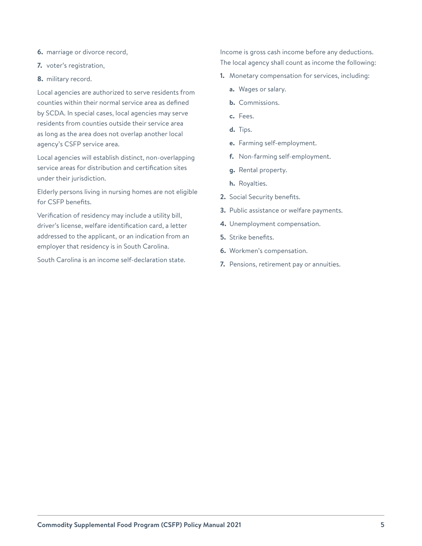- **6.** marriage or divorce record,
- **7.** voter's registration,
- **8.** military record.

Local agencies are authorized to serve residents from counties within their normal service area as defined by SCDA. In special cases, local agencies may serve residents from counties outside their service area as long as the area does not overlap another local agency's CSFP service area.

Local agencies will establish distinct, non-overlapping service areas for distribution and certification sites under their jurisdiction.

Elderly persons living in nursing homes are not eligible for CSFP benefits.

Verification of residency may include a utility bill, driver's license, welfare identification card, a letter addressed to the applicant, or an indication from an employer that residency is in South Carolina.

South Carolina is an income self-declaration state.

Income is gross cash income before any deductions. The local agency shall count as income the following:

- **1.** Monetary compensation for services, including:
	- **a.** Wages or salary.
	- **b.** Commissions.
	- **c.** Fees.
	- **d.** Tips.
	- **e.** Farming self-employment.
	- **f.** Non-farming self-employment.
	- **g.** Rental property.
	- **h.** Royalties.
- **2.** Social Security benefits.
- **3.** Public assistance or welfare payments.
- **4.** Unemployment compensation.
- **5.** Strike benefits.
- **6.** Workmen's compensation.
- **7.** Pensions, retirement pay or annuities.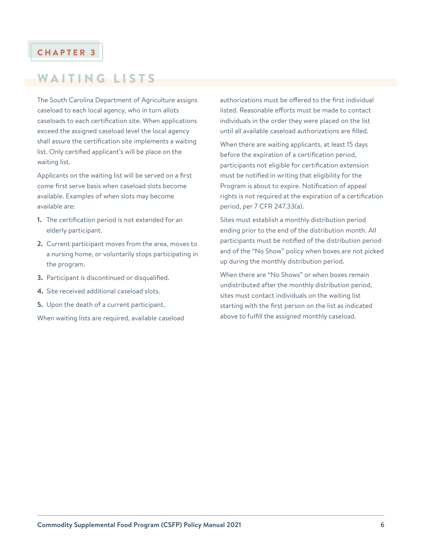### <span id="page-6-0"></span>WAITING LISTS

The South Carolina Department of Agriculture assigns caseload to each local agency, who in turn allots caseloads to each certification site. When applications exceed the assigned caseload level the local agency shall assure the certification site implements a waiting list. Only certified applicant's will be place on the waiting list.

Applicants on the waiting list will be served on a first come first serve basis when caseload slots become available. Examples of when slots may become available are:

- **1.** The certification period is not extended for an elderly participant.
- **2.** Current participant moves from the area, moves to a nursing home, or voluntarily stops participating in the program.
- **3.** Participant is discontinued or disqualified.
- **4.** Site received additional caseload slots.
- **5.** Upon the death of a current participant.

When waiting lists are required, available caseload

authorizations must be offered to the first individual listed. Reasonable efforts must be made to contact individuals in the order they were placed on the list until all available caseload authorizations are filled.

When there are waiting applicants, at least 15 days before the expiration of a certification period, participants not eligible for certification extension must be notified in writing that eligibility for the Program is about to expire. Notification of appeal rights is not required at the expiration of a certification period, per 7 CFR 247.33(a).

Sites must establish a monthly distribution period ending prior to the end of the distribution month. All participants must be notified of the distribution period and of the "No Show" policy when boxes are not picked up during the monthly distribution period.

When there are "No Shows" or when boxes remain undistributed after the monthly distribution period, sites must contact individuals on the waiting list starting with the first person on the list as indicated above to fulfill the assigned monthly caseload.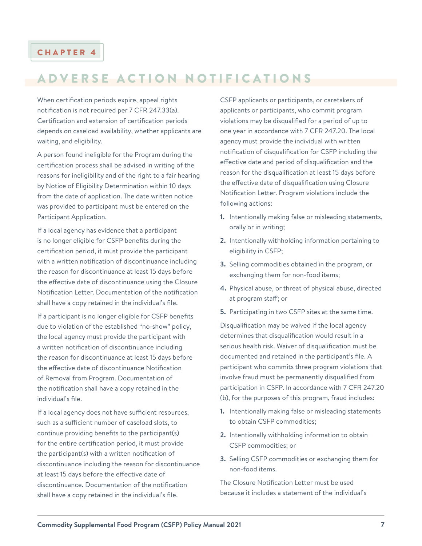### <span id="page-7-0"></span>ADVERSE ACTION NOTIFICATIONS

When certification periods expire, appeal rights notification is not required per 7 CFR 247.33(a). Certification and extension of certification periods depends on caseload availability, whether applicants are waiting, and eligibility.

A person found ineligible for the Program during the certification process shall be advised in writing of the reasons for ineligibility and of the right to a fair hearing by Notice of Eligibility Determination within 10 days from the date of application. The date written notice was provided to participant must be entered on the Participant Application.

If a local agency has evidence that a participant is no longer eligible for CSFP benefits during the certification period, it must provide the participant with a written notification of discontinuance including the reason for discontinuance at least 15 days before the effective date of discontinuance using the Closure Notification Letter. Documentation of the notification shall have a copy retained in the individual's file.

If a participant is no longer eligible for CSFP benefits due to violation of the established "no-show" policy, the local agency must provide the participant with a written notification of discontinuance including the reason for discontinuance at least 15 days before the effective date of discontinuance Notification of Removal from Program. Documentation of the notification shall have a copy retained in the individual's file.

If a local agency does not have sufficient resources, such as a sufficient number of caseload slots, to continue providing benefits to the participant(s) for the entire certification period, it must provide the participant(s) with a written notification of discontinuance including the reason for discontinuance at least 15 days before the effective date of discontinuance. Documentation of the notification shall have a copy retained in the individual's file.

CSFP applicants or participants, or caretakers of applicants or participants, who commit program violations may be disqualified for a period of up to one year in accordance with 7 CFR 247.20. The local agency must provide the individual with written notification of disqualification for CSFP including the effective date and period of disqualification and the reason for the disqualification at least 15 days before the effective date of disqualification using Closure Notification Letter. Program violations include the following actions:

- **1.** Intentionally making false or misleading statements, orally or in writing;
- **2.** Intentionally withholding information pertaining to eligibility in CSFP;
- **3.** Selling commodities obtained in the program, or exchanging them for non-food items;
- **4.** Physical abuse, or threat of physical abuse, directed at program staff; or
- **5.** Participating in two CSFP sites at the same time.

Disqualification may be waived if the local agency determines that disqualification would result in a serious health risk. Waiver of disqualification must be documented and retained in the participant's file. A participant who commits three program violations that involve fraud must be permanently disqualified from participation in CSFP. In accordance with 7 CFR 247.20 (b), for the purposes of this program, fraud includes:

- **1.** Intentionally making false or misleading statements to obtain CSFP commodities;
- **2.** Intentionally withholding information to obtain CSFP commodities; or
- **3.** Selling CSFP commodities or exchanging them for non-food items.

The Closure Notification Letter must be used because it includes a statement of the individual's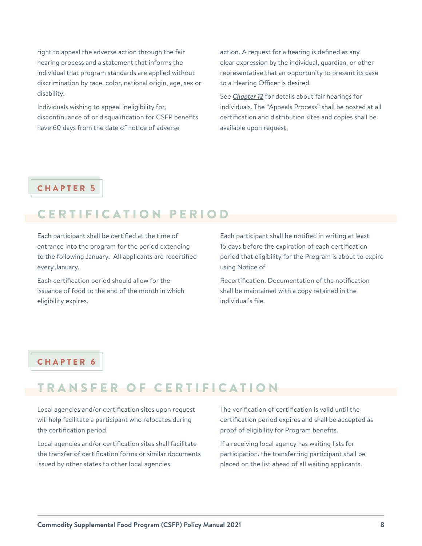<span id="page-8-0"></span>right to appeal the adverse action through the fair hearing process and a statement that informs the individual that program standards are applied without discrimination by race, color, national origin, age, sex or disability.

Individuals wishing to appeal ineligibility for, discontinuance of or disqualification for CSFP benefits have 60 days from the date of notice of adverse

action. A request for a hearing is defined as any clear expression by the individual, guardian, or other representative that an opportunity to present its case to a Hearing Officer is desired.

See *[Chapter 12](#page-11-0)* for details about fair hearings for individuals. The "Appeals Process" shall be posted at all certification and distribution sites and copies shall be available upon request.

### CHAPTER 5

### CERTIFICATION PERIOD

Each participant shall be certified at the time of entrance into the program for the period extending to the following January. All applicants are recertified every January.

Each certification period should allow for the issuance of food to the end of the month in which eligibility expires.

Each participant shall be notified in writing at least 15 days before the expiration of each certification period that eligibility for the Program is about to expire using Notice of

Recertification. Documentation of the notification shall be maintained with a copy retained in the individual's file.

### CHAPTER 6

### TRANSFER OF CERTIFICATION

Local agencies and/or certification sites upon request will help facilitate a participant who relocates during the certification period.

Local agencies and/or certification sites shall facilitate the transfer of certification forms or similar documents issued by other states to other local agencies.

The verification of certification is valid until the certification period expires and shall be accepted as proof of eligibility for Program benefits.

If a receiving local agency has waiting lists for participation, the transferring participant shall be placed on the list ahead of all waiting applicants.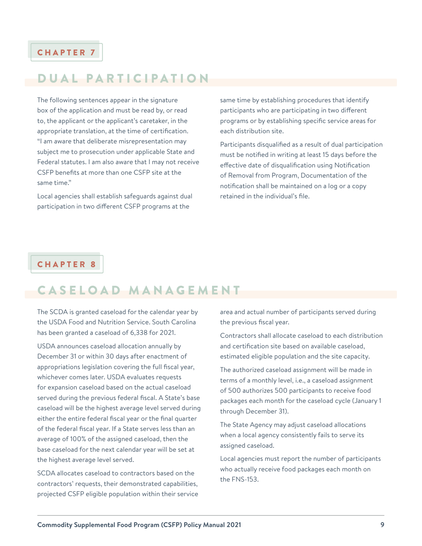### <span id="page-9-0"></span>DUAL PARTICIPATION

The following sentences appear in the signature box of the application and must be read by, or read to, the applicant or the applicant's caretaker, in the appropriate translation, at the time of certification. "I am aware that deliberate misrepresentation may subject me to prosecution under applicable State and Federal statutes. I am also aware that I may not receive CSFP benefits at more than one CSFP site at the same time."

Local agencies shall establish safeguards against dual participation in two different CSFP programs at the

same time by establishing procedures that identify participants who are participating in two different programs or by establishing specific service areas for each distribution site.

Participants disqualified as a result of dual participation must be notified in writing at least 15 days before the effective date of disqualification using Notification of Removal from Program, Documentation of the notification shall be maintained on a log or a copy retained in the individual's file.

### CHAPTER 8

### CASELOAD MANAGEMENT

The SCDA is granted caseload for the calendar year by the USDA Food and Nutrition Service. South Carolina has been granted a caseload of 6,338 for 2021.

USDA announces caseload allocation annually by December 31 or within 30 days after enactment of appropriations legislation covering the full fiscal year, whichever comes later. USDA evaluates requests for expansion caseload based on the actual caseload served during the previous federal fiscal. A State's base caseload will be the highest average level served during either the entire federal fiscal year or the final quarter of the federal fiscal year. If a State serves less than an average of 100% of the assigned caseload, then the base caseload for the next calendar year will be set at the highest average level served.

SCDA allocates caseload to contractors based on the contractors' requests, their demonstrated capabilities, projected CSFP eligible population within their service area and actual number of participants served during the previous fiscal year.

Contractors shall allocate caseload to each distribution and certification site based on available caseload, estimated eligible population and the site capacity.

The authorized caseload assignment will be made in terms of a monthly level, i.e., a caseload assignment of 500 authorizes 500 participants to receive food packages each month for the caseload cycle (January 1 through December 31).

The State Agency may adjust caseload allocations when a local agency consistently fails to serve its assigned caseload.

Local agencies must report the number of participants who actually receive food packages each month on the FNS-153.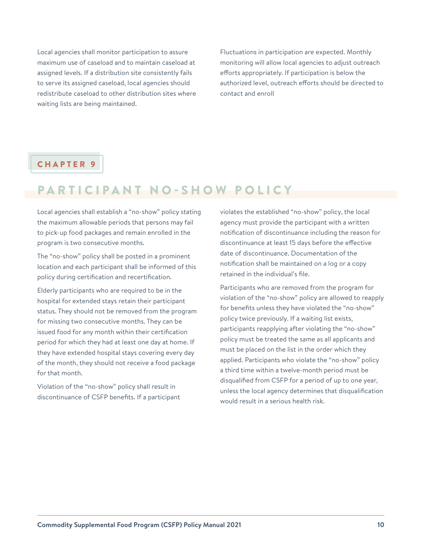<span id="page-10-0"></span>Local agencies shall monitor participation to assure maximum use of caseload and to maintain caseload at assigned levels. If a distribution site consistently fails to serve its assigned caseload, local agencies should redistribute caseload to other distribution sites where waiting lists are being maintained.

Fluctuations in participation are expected. Monthly monitoring will allow local agencies to adjust outreach efforts appropriately. If participation is below the authorized level, outreach efforts should be directed to contact and enroll

### CHAPTER 9

### PARTICIPANT NO-SHOW POLICY

Local agencies shall establish a "no-show" policy stating the maximum allowable periods that persons may fail to pick-up food packages and remain enrolled in the program is two consecutive months.

The "no-show" policy shall be posted in a prominent location and each participant shall be informed of this policy during certification and recertification.

Elderly participants who are required to be in the hospital for extended stays retain their participant status. They should not be removed from the program for missing two consecutive months. They can be issued food for any month within their certification period for which they had at least one day at home. If they have extended hospital stays covering every day of the month, they should not receive a food package for that month.

Violation of the "no-show" policy shall result in discontinuance of CSFP benefits. If a participant violates the established "no-show" policy, the local agency must provide the participant with a written notification of discontinuance including the reason for discontinuance at least 15 days before the effective date of discontinuance. Documentation of the notification shall be maintained on a log or a copy retained in the individual's file.

Participants who are removed from the program for violation of the "no-show" policy are allowed to reapply for benefits unless they have violated the "no-show" policy twice previously. If a waiting list exists, participants reapplying after violating the "no-show" policy must be treated the same as all applicants and must be placed on the list in the order which they applied. Participants who violate the "no-show" policy a third time within a twelve-month period must be disqualified from CSFP for a period of up to one year, unless the local agency determines that disqualification would result in a serious health risk.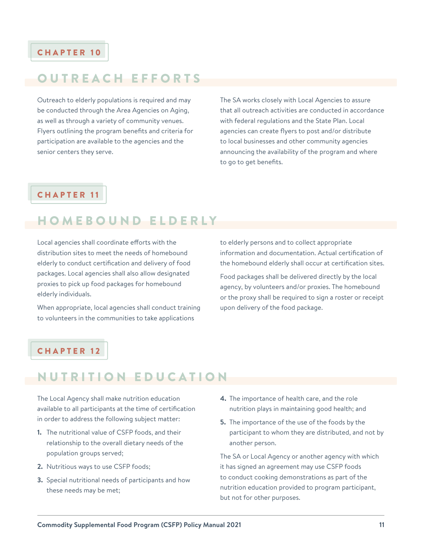### <span id="page-11-0"></span>OUTREACH EFFORTS

Outreach to elderly populations is required and may be conducted through the Area Agencies on Aging, as well as through a variety of community venues. Flyers outlining the program benefits and criteria for participation are available to the agencies and the senior centers they serve.

The SA works closely with Local Agencies to assure that all outreach activities are conducted in accordance with federal regulations and the State Plan. Local agencies can create flyers to post and/or distribute to local businesses and other community agencies announcing the availability of the program and where to go to get benefits.

### CHAPTER 11

### HOMEBOUND ELDERLY

Local agencies shall coordinate efforts with the distribution sites to meet the needs of homebound elderly to conduct certification and delivery of food packages. Local agencies shall also allow designated proxies to pick up food packages for homebound elderly individuals.

When appropriate, local agencies shall conduct training to volunteers in the communities to take applications

to elderly persons and to collect appropriate information and documentation. Actual certification of the homebound elderly shall occur at certification sites.

Food packages shall be delivered directly by the local agency, by volunteers and/or proxies. The homebound or the proxy shall be required to sign a roster or receipt upon delivery of the food package.

### CHAPTER 12

### NUTRITION EDUCATION

The Local Agency shall make nutrition education available to all participants at the time of certification in order to address the following subject matter:

- **1.** The nutritional value of CSFP foods, and their relationship to the overall dietary needs of the population groups served;
- **2.** Nutritious ways to use CSFP foods;
- **3.** Special nutritional needs of participants and how these needs may be met;
- **4.** The importance of health care, and the role nutrition plays in maintaining good health; and
- **5.** The importance of the use of the foods by the participant to whom they are distributed, and not by another person.

The SA or Local Agency or another agency with which it has signed an agreement may use CSFP foods to conduct cooking demonstrations as part of the nutrition education provided to program participant, but not for other purposes.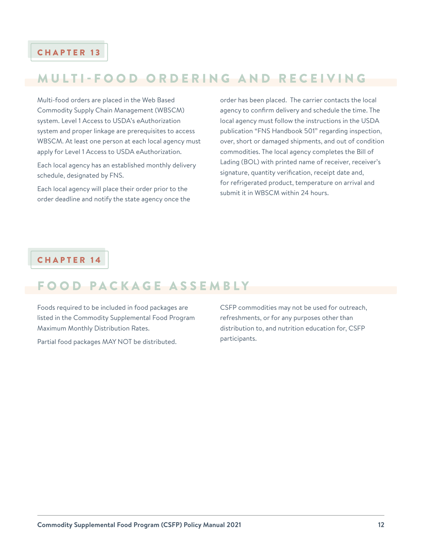### <span id="page-12-0"></span>MULTI-FOOD ORDERING AND RECEIVING

Multi-food orders are placed in the Web Based Commodity Supply Chain Management (WBSCM) system. Level 1 Access to USDA's eAuthorization system and proper linkage are prerequisites to access WBSCM. At least one person at each local agency must apply for Level 1 Access to USDA eAuthorization.

Each local agency has an established monthly delivery schedule, designated by FNS.

Each local agency will place their order prior to the order deadline and notify the state agency once the

order has been placed. The carrier contacts the local agency to confirm delivery and schedule the time. The local agency must follow the instructions in the USDA publication "FNS Handbook 501" regarding inspection, over, short or damaged shipments, and out of condition commodities. The local agency completes the Bill of Lading (BOL) with printed name of receiver, receiver's signature, quantity verification, receipt date and, for refrigerated product, temperature on arrival and submit it in WBSCM within 24 hours.

### CHAPTER 14

### FOOD PACKAGE ASSEMBLY

Foods required to be included in food packages are listed in the Commodity Supplemental Food Program Maximum Monthly Distribution Rates.

Partial food packages MAY NOT be distributed.

CSFP commodities may not be used for outreach, refreshments, or for any purposes other than distribution to, and nutrition education for, CSFP participants.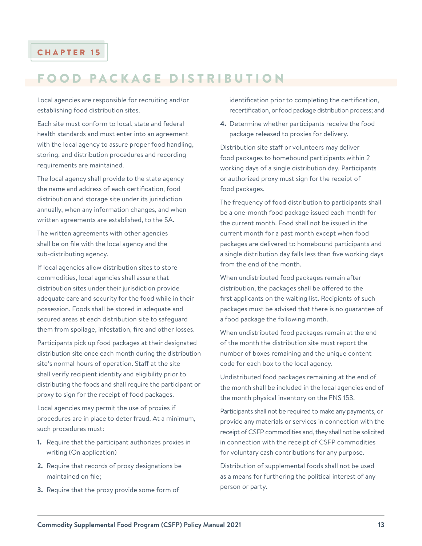### <span id="page-13-0"></span>FOOD PACKAGE DISTRIBUTION

Local agencies are responsible for recruiting and/or establishing food distribution sites.

Each site must conform to local, state and federal health standards and must enter into an agreement with the local agency to assure proper food handling, storing, and distribution procedures and recording requirements are maintained.

The local agency shall provide to the state agency the name and address of each certification, food distribution and storage site under its jurisdiction annually, when any information changes, and when written agreements are established, to the SA.

The written agreements with other agencies shall be on file with the local agency and the sub-distributing agency.

If local agencies allow distribution sites to store commodities, local agencies shall assure that distribution sites under their jurisdiction provide adequate care and security for the food while in their possession. Foods shall be stored in adequate and secured areas at each distribution site to safeguard them from spoilage, infestation, fire and other losses.

Participants pick up food packages at their designated distribution site once each month during the distribution site's normal hours of operation. Staff at the site shall verify recipient identity and eligibility prior to distributing the foods and shall require the participant or proxy to sign for the receipt of food packages.

Local agencies may permit the use of proxies if procedures are in place to deter fraud. At a minimum, such procedures must:

- **1.** Require that the participant authorizes proxies in writing (On application)
- **2.** Require that records of proxy designations be maintained on file;
- **3.** Require that the proxy provide some form of

identification prior to completing the certification, recertification, or food package distribution process; and

**4.** Determine whether participants receive the food package released to proxies for delivery.

Distribution site staff or volunteers may deliver food packages to homebound participants within 2 working days of a single distribution day. Participants or authorized proxy must sign for the receipt of food packages.

The frequency of food distribution to participants shall be a one-month food package issued each month for the current month. Food shall not be issued in the current month for a past month except when food packages are delivered to homebound participants and a single distribution day falls less than five working days from the end of the month.

When undistributed food packages remain after distribution, the packages shall be offered to the first applicants on the waiting list. Recipients of such packages must be advised that there is no guarantee of a food package the following month.

When undistributed food packages remain at the end of the month the distribution site must report the number of boxes remaining and the unique content code for each box to the local agency.

Undistributed food packages remaining at the end of the month shall be included in the local agencies end of the month physical inventory on the FNS 153.

Participants shall not be required to make any payments, or provide any materials or services in connection with the receipt of CSFP commodities and, they shall not be solicited in connection with the receipt of CSFP commodities for voluntary cash contributions for any purpose.

Distribution of supplemental foods shall not be used as a means for furthering the political interest of any person or party.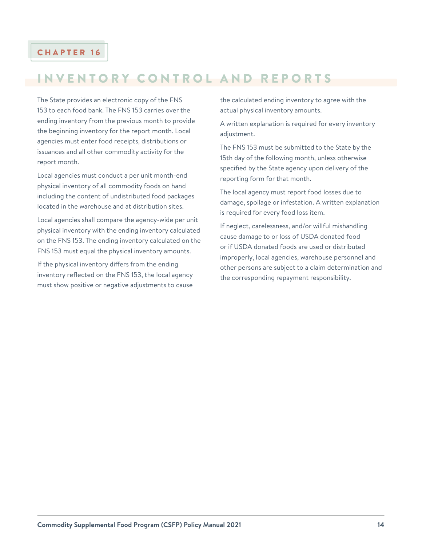### <span id="page-14-0"></span>INVENTORY CONTROL AND REPORTS

The State provides an electronic copy of the FNS 153 to each food bank. The FNS 153 carries over the ending inventory from the previous month to provide the beginning inventory for the report month. Local agencies must enter food receipts, distributions or issuances and all other commodity activity for the report month.

Local agencies must conduct a per unit month-end physical inventory of all commodity foods on hand including the content of undistributed food packages located in the warehouse and at distribution sites.

Local agencies shall compare the agency-wide per unit physical inventory with the ending inventory calculated on the FNS 153. The ending inventory calculated on the FNS 153 must equal the physical inventory amounts.

If the physical inventory differs from the ending inventory reflected on the FNS 153, the local agency must show positive or negative adjustments to cause

the calculated ending inventory to agree with the actual physical inventory amounts.

A written explanation is required for every inventory adjustment.

The FNS 153 must be submitted to the State by the 15th day of the following month, unless otherwise specified by the State agency upon delivery of the reporting form for that month.

The local agency must report food losses due to damage, spoilage or infestation. A written explanation is required for every food loss item.

If neglect, carelessness, and/or willful mishandling cause damage to or loss of USDA donated food or if USDA donated foods are used or distributed improperly, local agencies, warehouse personnel and other persons are subject to a claim determination and the corresponding repayment responsibility.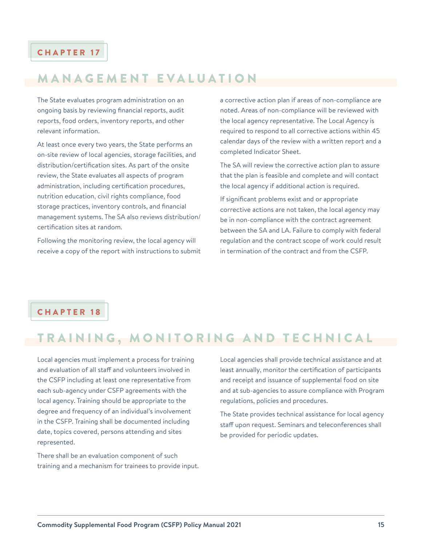### <span id="page-15-0"></span>MANAGEMENT EVALUATION

The State evaluates program administration on an ongoing basis by reviewing financial reports, audit reports, food orders, inventory reports, and other relevant information.

At least once every two years, the State performs an on-site review of local agencies, storage facilities, and distribution/certification sites. As part of the onsite review, the State evaluates all aspects of program administration, including certification procedures, nutrition education, civil rights compliance, food storage practices, inventory controls, and financial management systems. The SA also reviews distribution/ certification sites at random.

Following the monitoring review, the local agency will receive a copy of the report with instructions to submit

a corrective action plan if areas of non-compliance are noted. Areas of non-compliance will be reviewed with the local agency representative. The Local Agency is required to respond to all corrective actions within 45 calendar days of the review with a written report and a completed Indicator Sheet.

The SA will review the corrective action plan to assure that the plan is feasible and complete and will contact the local agency if additional action is required.

If significant problems exist and or appropriate corrective actions are not taken, the local agency may be in non-compliance with the contract agreement between the SA and LA. Failure to comply with federal regulation and the contract scope of work could result in termination of the contract and from the CSFP.

### CHAPTER 18

### TRAINING, MONITORING AND TECHNICAL

Local agencies must implement a process for training and evaluation of all staff and volunteers involved in the CSFP including at least one representative from each sub-agency under CSFP agreements with the local agency. Training should be appropriate to the degree and frequency of an individual's involvement in the CSFP. Training shall be documented including date, topics covered, persons attending and sites represented.

There shall be an evaluation component of such training and a mechanism for trainees to provide input.

Local agencies shall provide technical assistance and at least annually, monitor the certification of participants and receipt and issuance of supplemental food on site and at sub-agencies to assure compliance with Program regulations, policies and procedures.

The State provides technical assistance for local agency staff upon request. Seminars and teleconferences shall be provided for periodic updates.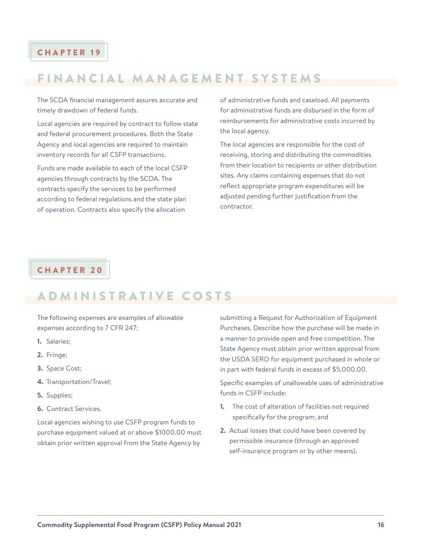### <span id="page-16-0"></span>FINANCIAL MANAGEMENT SYSTEMS

The SCDA financial management assures accurate and timely drawdown of federal funds.

Local agencies are required by contract to follow state and federal procurement procedures. Both the State Agency and local agencies are required to maintain inventory records for all CSFP transactions.

Funds are made available to each of the local CSFP agencies through contracts by the SCDA. The contracts specify the services to be performed according to federal regulations and the state plan of operation. Contracts also specify the allocation

of administrative funds and caseload. All payments for administrative funds are disbursed in the form of reimbursements for administrative costs incurred by the local agency.

The local agencies are responsible for the cost of receiving, storing and distributing the commodities from their location to recipients or other distribution sites. Any claims containing expenses that do not reflect appropriate program expenditures will be adjusted pending further justification from the contractor.

### CHAPTER 20

### ADMINISTRATIVE COSTS

The following expenses are examples of allowable expenses according to 7 CFR 247:

- **1.** Salaries;
- **2.** Fringe;
- **3.** Space Cost;
- **4.** Transportation/Travel;
- **5.** Supplies;
- **6.** Contract Services.

Local agencies wishing to use CSFP program funds to purchase equipment valued at or above \$1000.00 must obtain prior written approval from the State Agency by

submitting a Request for Authorization of Equipment Purchases. Describe how the purchase will be made in a manner to provide open and free competition. The State Agency must obtain prior written approval from the USDA SERO for equipment purchased in whole or in part with federal funds in excess of \$5,000.00.

Specific examples of unallowable uses of administrative funds in CSFP include:

- **1.** The cost of alteration of facilities not required specifically for the program; and
- **2.** Actual losses that could have been covered by permissible insurance (through an approved self-insurance program or by other means).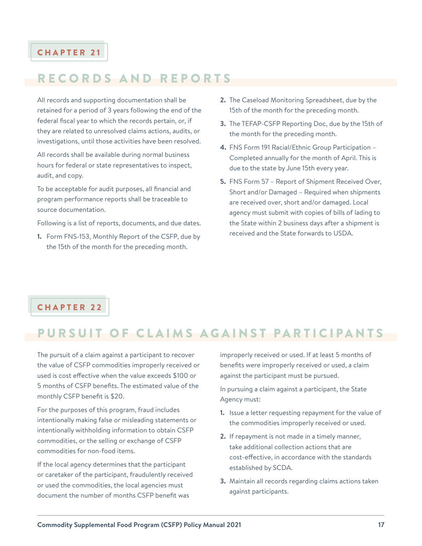### <span id="page-17-0"></span>RECORDS AND REPORTS

All records and supporting documentation shall be retained for a period of 3 years following the end of the federal fiscal year to which the records pertain, or, if they are related to unresolved claims actions, audits, or investigations, until those activities have been resolved.

All records shall be available during normal business hours for federal or state representatives to inspect, audit, and copy.

To be acceptable for audit purposes, all financial and program performance reports shall be traceable to source documentation.

Following is a list of reports, documents, and due dates.

**1.** Form FNS-153, Monthly Report of the CSFP, due by the 15th of the month for the preceding month.

- **2.** The Caseload Monitoring Spreadsheet, due by the 15th of the month for the preceding month.
- **3.** The TEFAP-CSFP Reporting Doc, due by the 15th of the month for the preceding month.
- **4.** FNS Form 191 Racial/Ethnic Group Participation Completed annually for the month of April. This is due to the state by June 15th every year.
- **5.** FNS Form 57 Report of Shipment Received Over, Short and/or Damaged – Required when shipments are received over, short and/or damaged. Local agency must submit with copies of bills of lading to the State within 2 business days after a shipment is received and the State forwards to USDA.

### CHAPTER 22

### PURSUIT OF CLAIMS AGAINST PARTICIPANTS

The pursuit of a claim against a participant to recover the value of CSFP commodities improperly received or used is cost effective when the value exceeds \$100 or 5 months of CSFP benefits. The estimated value of the monthly CSFP benefit is \$20.

For the purposes of this program, fraud includes intentionally making false or misleading statements or intentionally withholding information to obtain CSFP commodities, or the selling or exchange of CSFP commodities for non-food items.

If the local agency determines that the participant or caretaker of the participant, fraudulently received or used the commodities, the local agencies must document the number of months CSFP benefit was

improperly received or used. If at least 5 months of benefits were improperly received or used, a claim against the participant must be pursued.

In pursuing a claim against a participant, the State Agency must:

- **1.** Issue a letter requesting repayment for the value of the commodities improperly received or used.
- **2.** If repayment is not made in a timely manner, take additional collection actions that are cost-effective, in accordance with the standards established by SCDA.
- **3.** Maintain all records regarding claims actions taken against participants.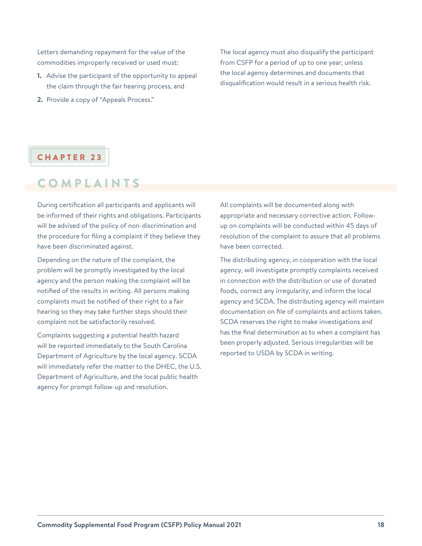<span id="page-18-0"></span>Letters demanding repayment for the value of the commodities improperly received or used must:

- **1.** Advise the participant of the opportunity to appeal the claim through the fair hearing process, and
- **2.** Provide a copy of "Appeals Process."

The local agency must also disqualify the participant from CSFP for a period of up to one year, unless the local agency determines and documents that disqualification would result in a serious health risk.

### CHAPTER 23

### COMPLAINTS

During certification all participants and applicants will be informed of their rights and obligations. Participants will be advised of the policy of non-discrimination and the procedure for filing a complaint if they believe they have been discriminated against.

Depending on the nature of the complaint, the problem will be promptly investigated by the local agency and the person making the complaint will be notified of the results in writing. All persons making complaints must be notified of their right to a fair hearing so they may take further steps should their complaint not be satisfactorily resolved.

Complaints suggesting a potential health hazard will be reported immediately to the South Carolina Department of Agriculture by the local agency. SCDA will immediately refer the matter to the DHEC, the U.S. Department of Agriculture, and the local public health agency for prompt follow-up and resolution.

All complaints will be documented along with appropriate and necessary corrective action. Followup on complaints will be conducted within 45 days of resolution of the complaint to assure that all problems have been corrected.

The distributing agency, in cooperation with the local agency, will investigate promptly complaints received in connection with the distribution or use of donated foods, correct any irregularity, and inform the local agency and SCDA. The distributing agency will maintain documentation on file of complaints and actions taken. SCDA reserves the right to make investigations and has the final determination as to when a complaint has been properly adjusted. Serious irregularities will be reported to USDA by SCDA in writing.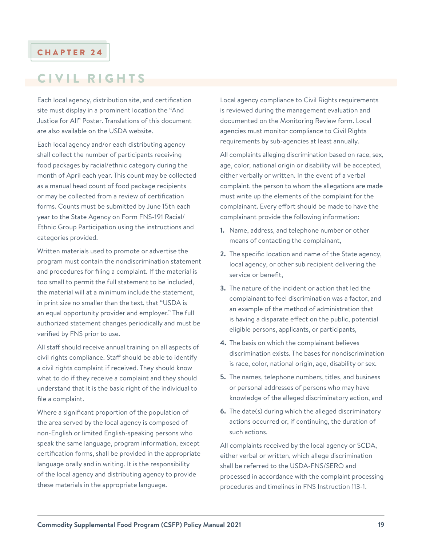### <span id="page-19-0"></span>CIVIL RIGHTS

Each local agency, distribution site, and certification site must display in a prominent location the "And Justice for All" Poster. Translations of this document are also available on the USDA website.

Each local agency and/or each distributing agency shall collect the number of participants receiving food packages by racial/ethnic category during the month of April each year. This count may be collected as a manual head count of food package recipients or may be collected from a review of certification forms. Counts must be submitted by June 15th each year to the State Agency on Form FNS-191 Racial/ Ethnic Group Participation using the instructions and categories provided.

Written materials used to promote or advertise the program must contain the nondiscrimination statement and procedures for filing a complaint. If the material is too small to permit the full statement to be included, the material will at a minimum include the statement, in print size no smaller than the text, that "USDA is an equal opportunity provider and employer." The full authorized statement changes periodically and must be verified by FNS prior to use.

All staff should receive annual training on all aspects of civil rights compliance. Staff should be able to identify a civil rights complaint if received. They should know what to do if they receive a complaint and they should understand that it is the basic right of the individual to file a complaint.

Where a significant proportion of the population of the area served by the local agency is composed of non-English or limited English-speaking persons who speak the same language, program information, except certification forms, shall be provided in the appropriate language orally and in writing. It is the responsibility of the local agency and distributing agency to provide these materials in the appropriate language.

Local agency compliance to Civil Rights requirements is reviewed during the management evaluation and documented on the Monitoring Review form. Local agencies must monitor compliance to Civil Rights requirements by sub-agencies at least annually.

All complaints alleging discrimination based on race, sex, age, color, national origin or disability will be accepted, either verbally or written. In the event of a verbal complaint, the person to whom the allegations are made must write up the elements of the complaint for the complainant. Every effort should be made to have the complainant provide the following information:

- **1.** Name, address, and telephone number or other means of contacting the complainant,
- **2.** The specific location and name of the State agency, local agency, or other sub recipient delivering the service or benefit,
- **3.** The nature of the incident or action that led the complainant to feel discrimination was a factor, and an example of the method of administration that is having a disparate effect on the public, potential eligible persons, applicants, or participants,
- **4.** The basis on which the complainant believes discrimination exists. The bases for nondiscrimination is race, color, national origin, age, disability or sex.
- **5.** The names, telephone numbers, titles, and business or personal addresses of persons who may have knowledge of the alleged discriminatory action, and
- **6.** The date(s) during which the alleged discriminatory actions occurred or, if continuing, the duration of such actions.

All complaints received by the local agency or SCDA, either verbal or written, which allege discrimination shall be referred to the USDA-FNS/SERO and processed in accordance with the complaint processing procedures and timelines in FNS Instruction 113-1.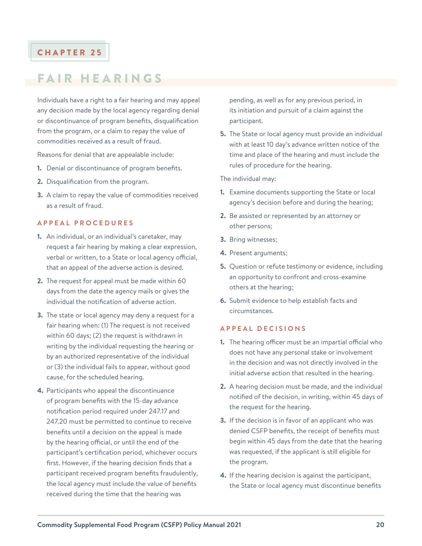### <span id="page-20-0"></span>FAIR HEARINGS

Individuals have a right to a fair hearing and may appeal any decision made by the local agency regarding denial or discontinuance of program benefits, disqualification from the program, or a claim to repay the value of commodities received as a result of fraud.

Reasons for denial that are appealable include:

- **1.** Denial or discontinuance of program benefits.
- **2.** Disqualification from the program.
- **3.** A claim to repay the value of commodities received as a result of fraud.

#### **APPEAL PROCEDURES**

- **1.** An individual, or an individual's caretaker, may request a fair hearing by making a clear expression, verbal or written, to a State or local agency official, that an appeal of the adverse action is desired.
- **2.** The request for appeal must be made within 60 days from the date the agency mails or gives the individual the notification of adverse action.
- **3.** The state or local agency may deny a request for a fair hearing when: (1) The request is not received within 60 days; (2) the request is withdrawn in writing by the individual requesting the hearing or by an authorized representative of the individual or (3) the individual fails to appear, without good cause, for the scheduled hearing.
- **4.** Participants who appeal the discontinuance of program benefits with the 15-day advance notification period required under 247.17 and 247.20 must be permitted to continue to receive benefits until a decision on the appeal is made by the hearing official, or until the end of the participant's certification period, whichever occurs first. However, if the hearing decision finds that a participant received program benefits fraudulently, the local agency must include the value of benefits received during the time that the hearing was

pending, as well as for any previous period, in its initiation and pursuit of a claim against the participant.

**5.** The State or local agency must provide an individual with at least 10 day's advance written notice of the time and place of the hearing and must include the rules of procedure for the hearing.

The individual may:

- **1.** Examine documents supporting the State or local agency's decision before and during the hearing;
- **2.** Be assisted or represented by an attorney or other persons;
- **3.** Bring witnesses;
- **4.** Present arguments;
- **5.** Question or refute testimony or evidence, including an opportunity to confront and cross-examine others at the hearing;
- **6.** Submit evidence to help establish facts and circumstances.

#### **APPEAL DECISIONS**

- **1.** The hearing officer must be an impartial official who does not have any personal stake or involvement in the decision and was not directly involved in the initial adverse action that resulted in the hearing.
- **2.** A hearing decision must be made, and the individual notified of the decision, in writing, within 45 days of the request for the hearing.
- **3.** If the decision is in favor of an applicant who was denied CSFP benefits, the receipt of benefits must begin within 45 days from the date that the hearing was requested, if the applicant is still eligible for the program.
- **4.** If the hearing decision is against the participant, the State or local agency must discontinue benefits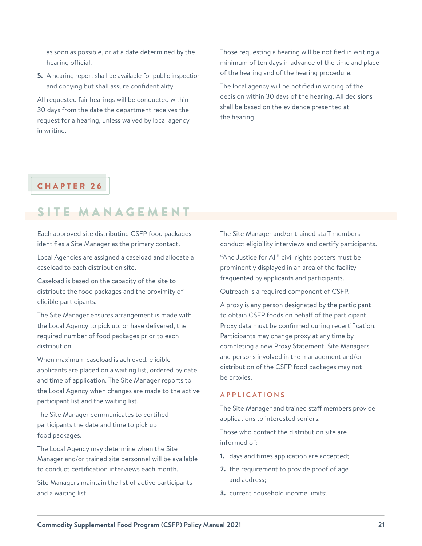<span id="page-21-0"></span>as soon as possible, or at a date determined by the hearing official.

**5.** A hearing report shall be available for public inspection and copying but shall assure confidentiality.

All requested fair hearings will be conducted within 30 days from the date the department receives the request for a hearing, unless waived by local agency in writing.

Those requesting a hearing will be notified in writing a minimum of ten days in advance of the time and place of the hearing and of the hearing procedure.

The local agency will be notified in writing of the decision within 30 days of the hearing. All decisions shall be based on the evidence presented at the hearing.

### CHAPTER 26

### SITE MANAGEMENT

Each approved site distributing CSFP food packages identifies a Site Manager as the primary contact.

Local Agencies are assigned a caseload and allocate a caseload to each distribution site.

Caseload is based on the capacity of the site to distribute the food packages and the proximity of eligible participants.

The Site Manager ensures arrangement is made with the Local Agency to pick up, or have delivered, the required number of food packages prior to each distribution.

When maximum caseload is achieved, eligible applicants are placed on a waiting list, ordered by date and time of application. The Site Manager reports to the Local Agency when changes are made to the active participant list and the waiting list.

The Site Manager communicates to certified participants the date and time to pick up food packages.

The Local Agency may determine when the Site Manager and/or trained site personnel will be available to conduct certification interviews each month.

Site Managers maintain the list of active participants and a waiting list.

The Site Manager and/or trained staff members conduct eligibility interviews and certify participants.

"And Justice for All" civil rights posters must be prominently displayed in an area of the facility frequented by applicants and participants.

Outreach is a required component of CSFP.

A proxy is any person designated by the participant to obtain CSFP foods on behalf of the participant. Proxy data must be confirmed during recertification. Participants may change proxy at any time by completing a new Proxy Statement. Site Managers and persons involved in the management and/or distribution of the CSFP food packages may not be proxies.

#### **APPLICATIONS**

The Site Manager and trained staff members provide applications to interested seniors.

Those who contact the distribution site are informed of:

- **1.** days and times application are accepted;
- **2.** the requirement to provide proof of age and address;
- **3.** current household income limits;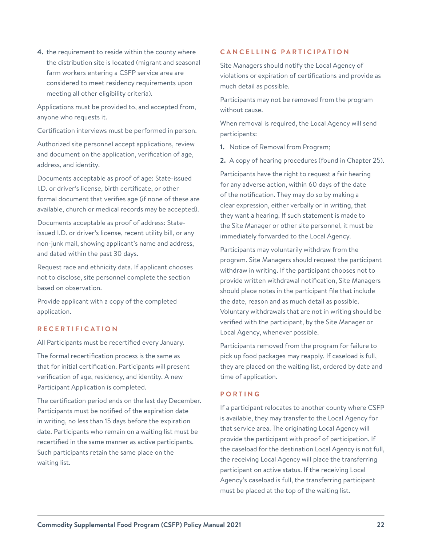**4.** the requirement to reside within the county where the distribution site is located (migrant and seasonal farm workers entering a CSFP service area are considered to meet residency requirements upon meeting all other eligibility criteria).

Applications must be provided to, and accepted from, anyone who requests it.

Certification interviews must be performed in person.

Authorized site personnel accept applications, review and document on the application, verification of age, address, and identity.

Documents acceptable as proof of age: State-issued I.D. or driver's license, birth certificate, or other formal document that verifies age (if none of these are available, church or medical records may be accepted).

Documents acceptable as proof of address: Stateissued I.D. or driver's license, recent utility bill, or any non-junk mail, showing applicant's name and address, and dated within the past 30 days.

Request race and ethnicity data. If applicant chooses not to disclose, site personnel complete the section based on observation.

Provide applicant with a copy of the completed application.

#### **RECERTIFICATION**

All Participants must be recertified every January.

The formal recertification process is the same as that for initial certification. Participants will present verification of age, residency, and identity. A new Participant Application is completed.

The certification period ends on the last day December. Participants must be notified of the expiration date in writing, no less than 15 days before the expiration date. Participants who remain on a waiting list must be recertified in the same manner as active participants. Such participants retain the same place on the waiting list.

#### **CANCELLING PARTICIPATION**

Site Managers should notify the Local Agency of violations or expiration of certifications and provide as much detail as possible.

Participants may not be removed from the program without cause.

When removal is required, the Local Agency will send participants:

**1.** Notice of Removal from Program;

**2.** A copy of hearing procedures (found in Chapter 25).

Participants have the right to request a fair hearing for any adverse action, within 60 days of the date of the notification. They may do so by making a clear expression, either verbally or in writing, that they want a hearing. If such statement is made to the Site Manager or other site personnel, it must be immediately forwarded to the Local Agency.

Participants may voluntarily withdraw from the program. Site Managers should request the participant withdraw in writing. If the participant chooses not to provide written withdrawal notification, Site Managers should place notes in the participant file that include the date, reason and as much detail as possible. Voluntary withdrawals that are not in writing should be verified with the participant, by the Site Manager or Local Agency, whenever possible.

Participants removed from the program for failure to pick up food packages may reapply. If caseload is full, they are placed on the waiting list, ordered by date and time of application.

#### **PORTING**

If a participant relocates to another county where CSFP is available, they may transfer to the Local Agency for that service area. The originating Local Agency will provide the participant with proof of participation. If the caseload for the destination Local Agency is not full, the receiving Local Agency will place the transferring participant on active status. If the receiving Local Agency's caseload is full, the transferring participant must be placed at the top of the waiting list.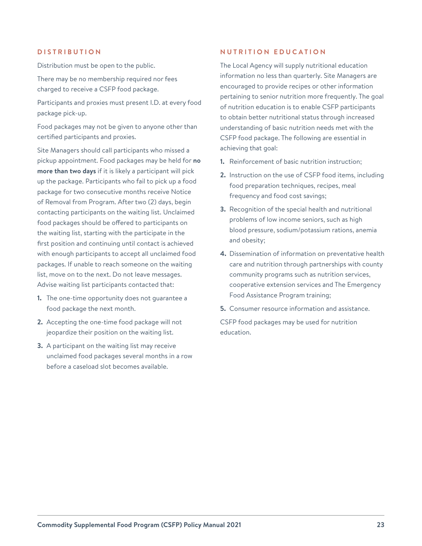#### **DISTRIBUTION**

Distribution must be open to the public.

There may be no membership required nor fees charged to receive a CSFP food package.

Participants and proxies must present I.D. at every food package pick-up.

Food packages may not be given to anyone other than certified participants and proxies.

Site Managers should call participants who missed a pickup appointment. Food packages may be held for **no more than two days** if it is likely a participant will pick up the package. Participants who fail to pick up a food package for two consecutive months receive Notice of Removal from Program. After two (2) days, begin contacting participants on the waiting list. Unclaimed food packages should be offered to participants on the waiting list, starting with the participate in the first position and continuing until contact is achieved with enough participants to accept all unclaimed food packages. If unable to reach someone on the waiting list, move on to the next. Do not leave messages. Advise waiting list participants contacted that:

- **1.** The one-time opportunity does not guarantee a food package the next month.
- **2.** Accepting the one-time food package will not jeopardize their position on the waiting list.
- **3.** A participant on the waiting list may receive unclaimed food packages several months in a row before a caseload slot becomes available.

#### **NUTRITION EDUCATION**

The Local Agency will supply nutritional education information no less than quarterly. Site Managers are encouraged to provide recipes or other information pertaining to senior nutrition more frequently. The goal of nutrition education is to enable CSFP participants to obtain better nutritional status through increased understanding of basic nutrition needs met with the CSFP food package. The following are essential in achieving that goal:

- **1.** Reinforcement of basic nutrition instruction;
- **2.** Instruction on the use of CSFP food items, including food preparation techniques, recipes, meal frequency and food cost savings;
- **3.** Recognition of the special health and nutritional problems of low income seniors, such as high blood pressure, sodium/potassium rations, anemia and obesity;
- **4.** Dissemination of information on preventative health care and nutrition through partnerships with county community programs such as nutrition services, cooperative extension services and The Emergency Food Assistance Program training;
- **5.** Consumer resource information and assistance.

CSFP food packages may be used for nutrition education.